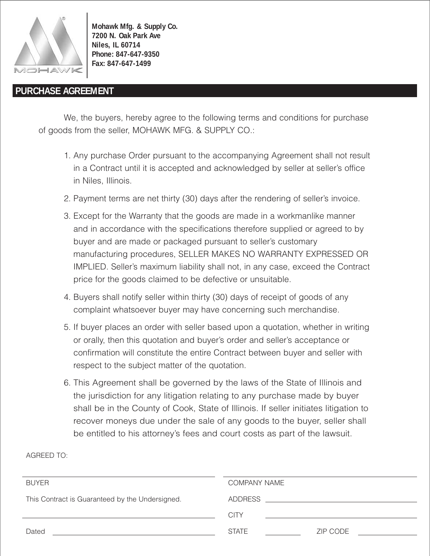

AGREED TO:

**Mohawk Mfg. & Supply Co. 7200 N. Oak Park Ave Niles, IL 60714 Phone: 847-647-9350 Fax: 847-647-1499**

## **PURCHASE AGREEMENT**

We, the buyers, hereby agree to the following terms and conditions for purchase of goods from the seller, MOHAWK MFG. & SUPPLY CO.:

- 1. Any purchase Order pursuant to the accompanying Agreement shall not result in a Contract until it is accepted and acknowledged by seller at seller's office in Niles, Illinois.
- 2. Payment terms are net thirty (30) days after the rendering of seller's invoice.
- 3. Except for the Warranty that the goods are made in a workmanlike manner and in accordance with the specifications therefore supplied or agreed to by buyer and are made or packaged pursuant to seller's customary manufacturing procedures, SELLER MAKES NO WARRANTY EXPRESSED OR IMPLIED. Seller's maximum liability shall not, in any case, exceed the Contract price for the goods claimed to be defective or unsuitable.
- 4. Buyers shall notify seller within thirty (30) days of receipt of goods of any complaint whatsoever buyer may have concerning such merchandise.
- 5. If buyer places an order with seller based upon a quotation, whether in writing or orally, then this quotation and buyer's order and seller's acceptance or confirmation will constitute the entire Contract between buyer and seller with respect to the subject matter of the quotation.
- 6. This Agreement shall be governed by the laws of the State of Illinois and the jurisdiction for any litigation relating to any purchase made by buyer shall be in the County of Cook, State of Illinois. If seller initiates litigation to recover moneys due under the sale of any goods to the buyer, seller shall be entitled to his attorney's fees and court costs as part of the lawsuit.

| <b>BUYER</b>                                    | <b>COMPANY NAME</b>                                                                                                                                                                                                            |
|-------------------------------------------------|--------------------------------------------------------------------------------------------------------------------------------------------------------------------------------------------------------------------------------|
| This Contract is Guaranteed by the Undersigned. | ADDRESS AND THE STATE OF THE STATE OF THE STATE OF THE STATE OF THE STATE OF THE STATE OF THE STATE OF THE STATE OF THE STATE OF THE STATE OF THE STATE OF THE STATE OF THE STATE OF THE STATE OF THE STATE OF THE STATE OF TH |
|                                                 | <b>CITY</b>                                                                                                                                                                                                                    |
| Dated                                           | <b>STATE</b><br>ZIP CODE                                                                                                                                                                                                       |